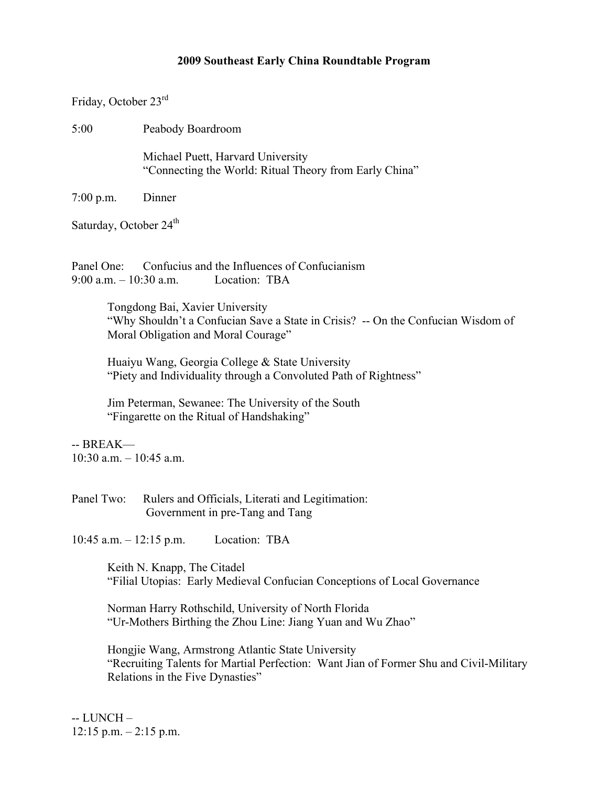## **2009 Southeast Early China Roundtable Program**

Friday, October 23rd

5:00 Peabody Boardroom

Michael Puett, Harvard University "Connecting the World: Ritual Theory from Early China"

7:00 p.m. Dinner

Saturday, October 24<sup>th</sup>

Panel One: Confucius and the Influences of Confucianism 9:00 a.m. – 10:30 a.m. Location: TBA

> Tongdong Bai, Xavier University "Why Shouldn't a Confucian Save a State in Crisis? -- On the Confucian Wisdom of Moral Obligation and Moral Courage"

Huaiyu Wang, Georgia College & State University "Piety and Individuality through a Convoluted Path of Rightness"

Jim Peterman, Sewanee: The University of the South "Fingarette on the Ritual of Handshaking"

 $-$  BREAK—  $10:30$  a.m.  $-10:45$  a.m.

Panel Two: Rulers and Officials, Literati and Legitimation: Government in pre-Tang and Tang

10:45 a.m. – 12:15 p.m. Location: TBA

Keith N. Knapp, The Citadel "Filial Utopias: Early Medieval Confucian Conceptions of Local Governance

Norman Harry Rothschild, University of North Florida "Ur-Mothers Birthing the Zhou Line: Jiang Yuan and Wu Zhao"

Hongjie Wang, Armstrong Atlantic State University "Recruiting Talents for Martial Perfection: Want Jian of Former Shu and Civil-Military Relations in the Five Dynasties"